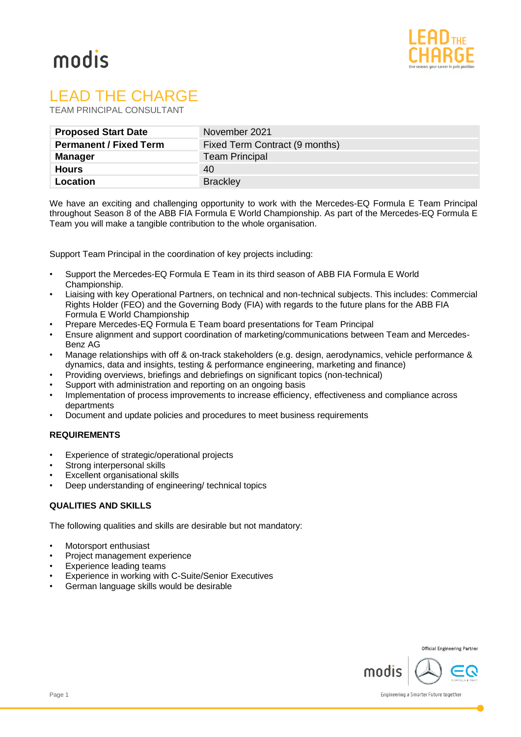

# modis

# LEAD THE CHARGE

TEAM PRINCIPAL CONSULTANT

| <b>Proposed Start Date</b>    | November 2021                  |
|-------------------------------|--------------------------------|
| <b>Permanent / Fixed Term</b> | Fixed Term Contract (9 months) |
| <b>Manager</b>                | <b>Team Principal</b>          |
| <b>Hours</b>                  | 40                             |
| Location                      | <b>Brackley</b>                |

We have an exciting and challenging opportunity to work with the Mercedes-EQ Formula E Team Principal throughout Season 8 of the ABB FIA Formula E World Championship. As part of the Mercedes-EQ Formula E Team you will make a tangible contribution to the whole organisation.

Support Team Principal in the coordination of key projects including:

- Support the Mercedes-EQ Formula E Team in its third season of ABB FIA Formula E World Championship.
- Liaising with key Operational Partners, on technical and non-technical subjects. This includes: Commercial Rights Holder (FEO) and the Governing Body (FIA) with regards to the future plans for the ABB FIA Formula E World Championship
- Prepare Mercedes-EQ Formula E Team board presentations for Team Principal
- Ensure alignment and support coordination of marketing/communications between Team and Mercedes-Benz AG
- Manage relationships with off & on-track stakeholders (e.g. design, aerodynamics, vehicle performance & dynamics, data and insights, testing & performance engineering, marketing and finance)
- Providing overviews, briefings and debriefings on significant topics (non-technical)
- Support with administration and reporting on an ongoing basis
- Implementation of process improvements to increase efficiency, effectiveness and compliance across departments
- Document and update policies and procedures to meet business requirements

# **REQUIREMENTS**

- Experience of strategic/operational projects
- Strong interpersonal skills
- **Excellent organisational skills**
- Deep understanding of engineering/ technical topics

# **QUALITIES AND SKILLS**

The following qualities and skills are desirable but not mandatory:

- Motorsport enthusiast
- Project management experience
- Experience leading teams
- Experience in working with C-Suite/Senior Executives
- German language skills would be desirable

**Official Engineering Partner** 



Engineering a Smarter Future together